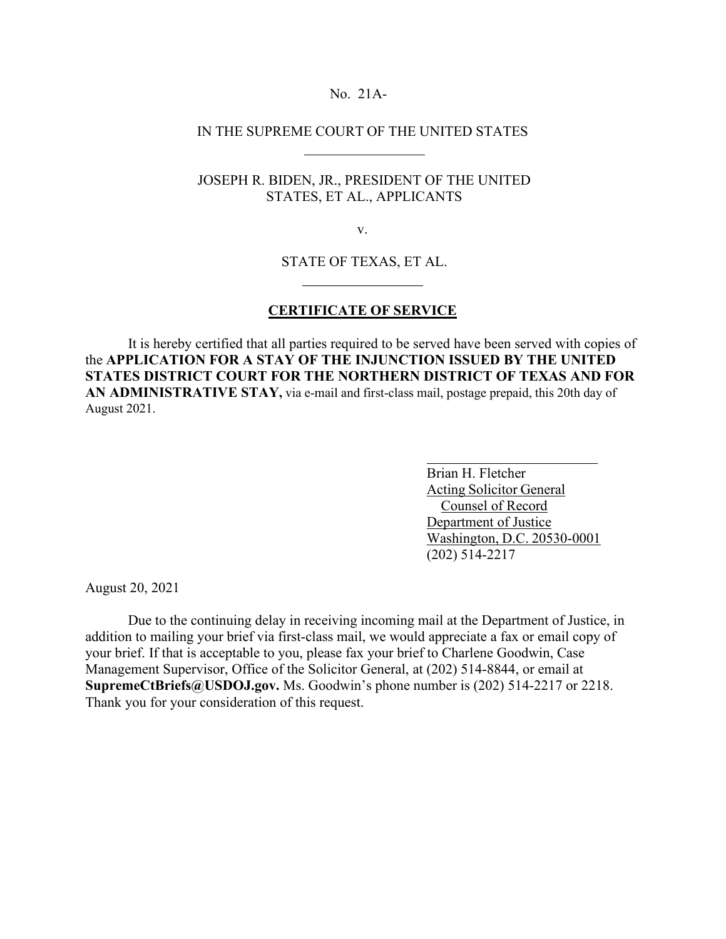### No. 21A-

## IN THE SUPREME COURT OF THE UNITED STATES

# JOSEPH R. BIDEN, JR., PRESIDENT OF THE UNITED STATES, ET AL., APPLICANTS

v.

## STATE OF TEXAS, ET AL.

#### **CERTIFICATE OF SERVICE**

It is hereby certified that all parties required to be served have been served with copies of the **APPLICATION FOR A STAY OF THE INJUNCTION ISSUED BY THE UNITED STATES DISTRICT COURT FOR THE NORTHERN DISTRICT OF TEXAS AND FOR**  AN ADMINISTRATIVE STAY, via e-mail and first-class mail, postage prepaid, this 20th day of August 2021.

> Brian H. Fletcher Acting Solicitor General Counsel of Record Department of Justice Washington, D.C. 20530-0001 (202) 514-2217

August 20, 2021

Due to the continuing delay in receiving incoming mail at the Department of Justice, in addition to mailing your brief via first-class mail, we would appreciate a fax or email copy of your brief. If that is acceptable to you, please fax your brief to Charlene Goodwin, Case Management Supervisor, Office of the Solicitor General, at (202) 514-8844, or email at **[SupremeCtBriefs@USDOJ.gov.](mailto:SupremeCtBriefs@USDOJ.gov)** Ms. Goodwin's phone number is (202) 514-2217 or 2218. Thank you for your consideration of this request.